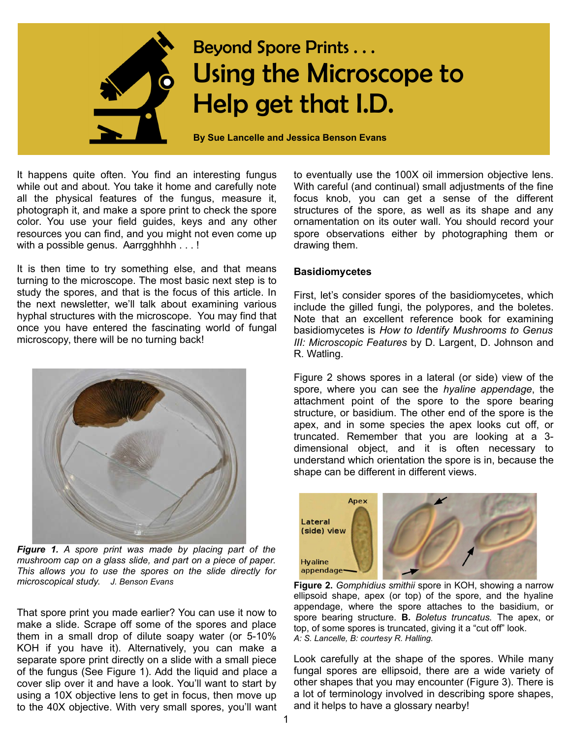

## Beyond Spore Prints . . . Using the Microscope to Help get that I.D.

**By Sue Lancelle and Jessica Benson Evans**

It happens quite often. You find an interesting fungus while out and about. You take it home and carefully note all the physical features of the fungus, measure it, photograph it, and make a spore print to check the spore color. You use your field guides, keys and any other resources you can find, and you might not even come up with a possible genus. Aarrgghhhh . . . !

It is then time to try something else, and that means turning to the microscope. The most basic next step is to study the spores, and that is the focus of this article. In the next newsletter, we'll talk about examining various hyphal structures with the microscope. You may find that once you have entered the fascinating world of fungal microscopy, there will be no turning back!



*Figure 1. A spore print was made by placing part of the mushroom cap on a glass slide, and part on a piece of paper. This allows you to use the spores on the slide directly for microscopical study. J. Benson Evans*

That spore print you made earlier? You can use it now to make a slide. Scrape off some of the spores and place them in a small drop of dilute soapy water (or 5-10% KOH if you have it). Alternatively, you can make a separate spore print directly on a slide with a small piece of the fungus (See Figure 1). Add the liquid and place a cover slip over it and have a look. You'll want to start by using a 10X objective lens to get in focus, then move up to the 40X objective. With very small spores, you'll want to eventually use the 100X oil immersion objective lens. With careful (and continual) small adjustments of the fine focus knob, you can get a sense of the different structures of the spore, as well as its shape and any ornamentation on its outer wall. You should record your spore observations either by photographing them or drawing them.

## **Basidiomycetes**

First, let's consider spores of the basidiomycetes, which include the gilled fungi, the polypores, and the boletes. Note that an excellent reference book for examining basidiomycetes is *How to Identify Mushrooms to Genus III: Microscopic Features* by D. Largent, D. Johnson and R. Watling.

Figure 2 shows spores in a lateral (or side) view of the spore, where you can see the *hyaline appendage*, the attachment point of the spore to the spore bearing structure, or basidium. The other end of the spore is the apex, and in some species the apex looks cut off, or truncated. Remember that you are looking at a 3 dimensional object, and it is often necessary to understand which orientation the spore is in, because the shape can be different in different views.



**Figure 2.** *Gomphidius smithii* spore in KOH, showing a narrow ellipsoid shape, apex (or top) of the spore, and the hyaline appendage, where the spore attaches to the basidium, or spore bearing structure. **B.** *Boletus truncatus.* The apex, or top, of some spores is truncated, giving it a "cut off" look. *A: S. Lancelle, B: courtesy R. Halling.*

Look carefully at the shape of the spores. While many fungal spores are ellipsoid, there are a wide variety of other shapes that you may encounter (Figure 3). There is a lot of terminology involved in describing spore shapes, and it helps to have a glossary nearby!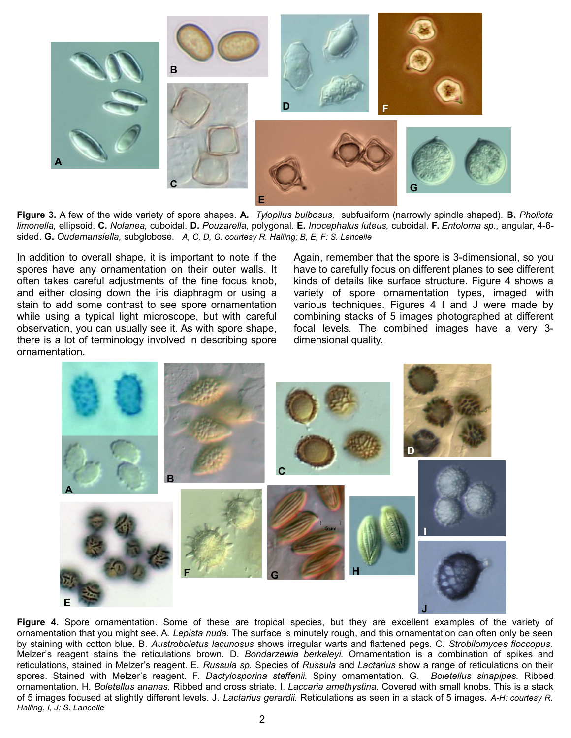

**Figure 3.** A few of the wide variety of spore shapes. **A.** *Tylopilus bulbosus,* subfusiform (narrowly spindle shaped). **B.** *Pholiota limonella,* ellipsoid. **C.** *Nolanea,* cuboidal*.* **D.** *Pouzarella,* polygonal. **E.** *Inocephalus luteus,* cuboidal. **F.** *Entoloma sp.,* angular, 4-6 sided. **G.** *Oudemansiella,* subglobose. *A, C, D, G: courtesy R. Halling; B, E, F: S. Lancelle*

In addition to overall shape, it is important to note if the spores have any ornamentation on their outer walls. It often takes careful adjustments of the fine focus knob, and either closing down the iris diaphragm or using a stain to add some contrast to see spore ornamentation while using a typical light microscope, but with careful observation, you can usually see it. As with spore shape, there is a lot of terminology involved in describing spore ornamentation.

Again, remember that the spore is 3-dimensional, so you have to carefully focus on different planes to see different kinds of details like surface structure. Figure 4 shows a variety of spore ornamentation types, imaged with various techniques. Figures 4 I and J were made by combining stacks of 5 images photographed at different focal levels. The combined images have a very 3 dimensional quality.



**Figure 4.** Spore ornamentation. Some of these are tropical species, but they are excellent examples of the variety of ornamentation that you might see. A. *Lepista nuda.* The surface is minutely rough, and this ornamentation can often only be seen by staining with cotton blue. B. *Austroboletus lacunosus* shows irregular warts and flattened pegs. C. *Strobilomyces floccopus.* Melzer's reagent stains the reticulations brown. D. *Bondarzewia berkeleyi.* Ornamentation is a combination of spikes and reticulations, stained in Melzer's reagent. E. *Russula sp.* Species of *Russula* and *Lactarius* show a range of reticulations on their spores. Stained with Melzer's reagent. F. *Dactylosporina steffenii.* Spiny ornamentation. G. *Boletellus sinapipes.* Ribbed ornamentation. H. *Boletellus ananas.* Ribbed and cross striate. I. *Laccaria amethystina.* Covered with small knobs. This is a stack of 5 images focused at slightly different levels. J. *Lactarius gerardii.* Reticulations as seen in a stack of 5 images. *A-H: courtesy R. Halling. I, J: S. Lancelle*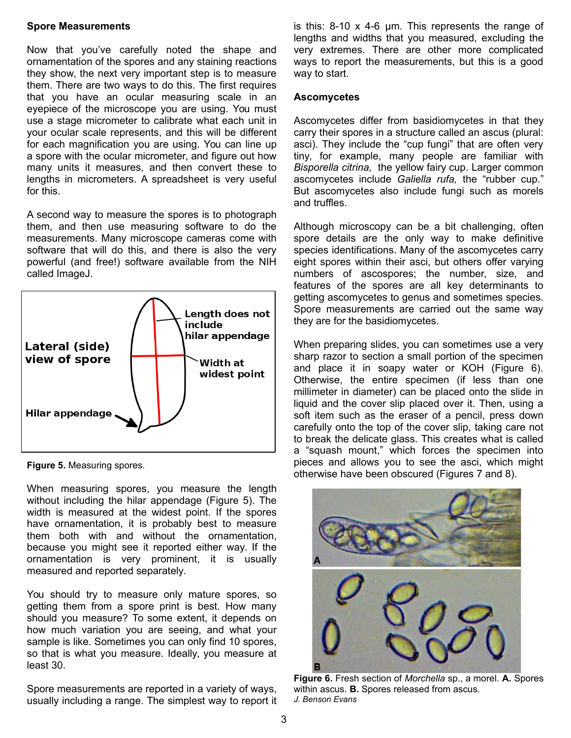## **Spore Measurements**

Now that you've carefully noted the shape and ornamentation of the spores and any staining reactions they show, the next very important step is to measure them. There are two ways to do this. The first requires that you have an ocular measuring scale in an eyepiece of the microscope you are using. You must use a stage micrometer to calibrate what each unit in your ocular scale represents, and this will be different for each magnification you are using. You can line up a spore with the ocular micrometer, and figure out how many units it measures, and then convert these to lengths in micrometers. A spreadsheet is very useful for this.

A second way to measure the spores is to photograph them, and then use measuring software to do the measurements. Many microscope cameras come with software that will do this, and there is also the very powerful (and free!) software available from the NIH called ImageJ.



**Figure 5.** Measuring spores.

When measuring spores, you measure the length without including the hilar appendage (Figure 5). The width is measured at the widest point. If the spores have ornamentation, it is probably best to measure them both with and without the ornamentation, because you might see it reported either way. If the ornamentation is very prominent, it is usually measured and reported separately.

You should try to measure only mature spores, so getting them from a spore print is best. How many should you measure? To some extent, it depends on how much variation you are seeing, and what your sample is like. Sometimes you can only find 10 spores, so that is what you measure. Ideally, you measure at least 30.

Spore measurements are reported in a variety of ways, usually including a range. The simplest way to report it is this: 8-10 x 4-6 μm. This represents the range of lengths and widths that you measured, excluding the very extremes. There are other more complicated ways to report the measurements, but this is a good way to start.

## **Ascomycetes**

Ascomycetes differ from basidiomycetes in that they carry their spores in a structure called an ascus (plural: asci). They include the "cup fungi" that are often very tiny, for example, many people are familiar with *Bisporella citrina,* the yellow fairy cup. Larger common ascomycetes include *Galiella rufa,* the "rubber cup." But ascomycetes also include fungi such as morels and truffles.

Although microscopy can be a bit challenging, often spore details are the only way to make definitive species identifications. Many of the ascomycetes carry eight spores within their asci, but others offer varying numbers of ascospores; the number, size, and features of the spores are all key determinants to getting ascomycetes to genus and sometimes species. Spore measurements are carried out the same way they are for the basidiomycetes.

When preparing slides, you can sometimes use a very sharp razor to section a small portion of the specimen and place it in soapy water or KOH (Figure 6). Otherwise, the entire specimen (if less than one millimeter in diameter) can be placed onto the slide in liquid and the cover slip placed over it. Then, using a soft item such as the eraser of a pencil, press down carefully onto the top of the cover slip, taking care not to break the delicate glass. This creates what is called a "squash mount," which forces the specimen into pieces and allows you to see the asci, which might otherwise have been obscured (Figures 7 and 8).



**Figure 6.** Fresh section of *Morchella* sp., a morel. **A.** Spores within ascus. **B.** Spores released from ascus. *J. Benson Evans*